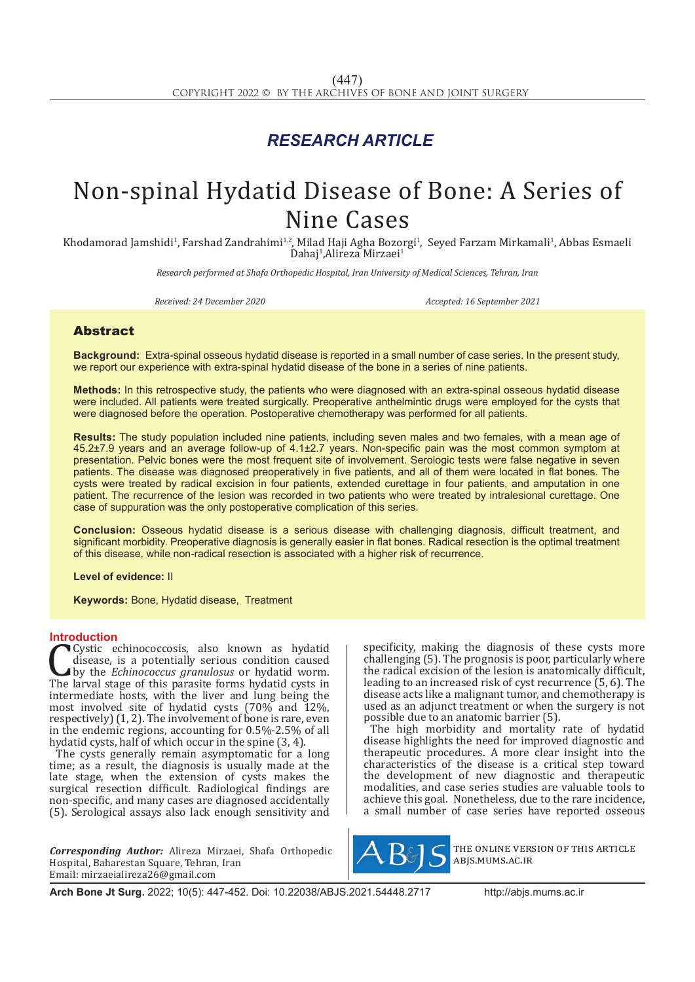## *RESEARCH ARTICLE*

# Non-spinal Hydatid Disease of Bone: A Series of Nine Cases

Khodamorad Jamshidi<sup>1</sup>, Farshad Zandrahimi<sup>1,2</sup>, Milad Haji Agha Bozorgi<sup>1</sup>, Seyed Farzam Mirkamali<sup>1</sup>, Abbas Esmaeli Dahaj<sup>1</sup>,Alireza Mirzaei<sup>1</sup>

*Research performed at Shafa Orthopedic Hospital, Iran University of Medical Sciences, Tehran, Iran*

*Received: 24 December 2020 Accepted: 16 September 2021*

### Abstract

**Background:** Extra-spinal osseous hydatid disease is reported in a small number of case series. In the present study, we report our experience with extra-spinal hydatid disease of the bone in a series of nine patients.

**Methods:** In this retrospective study, the patients who were diagnosed with an extra-spinal osseous hydatid disease were included. All patients were treated surgically. Preoperative anthelmintic drugs were employed for the cysts that were diagnosed before the operation. Postoperative chemotherapy was performed for all patients.

**Results:** The study population included nine patients, including seven males and two females, with a mean age of 45.2±7.9 years and an average follow-up of 4.1±2.7 years. Non-specific pain was the most common symptom at presentation. Pelvic bones were the most frequent site of involvement. Serologic tests were false negative in seven patients. The disease was diagnosed preoperatively in five patients, and all of them were located in flat bones. The cysts were treated by radical excision in four patients, extended curettage in four patients, and amputation in one patient. The recurrence of the lesion was recorded in two patients who were treated by intralesional curettage. One case of suppuration was the only postoperative complication of this series.

**Conclusion:** Osseous hydatid disease is a serious disease with challenging diagnosis, difficult treatment, and significant morbidity. Preoperative diagnosis is generally easier in flat bones. Radical resection is the optimal treatment of this disease, while non-radical resection is associated with a higher risk of recurrence.

**Level of evidence:** II

**Keywords:** Bone, Hydatid disease, Treatment

**Introduction**<br>Cystic echinococcosis, also known as hydatid Cystic echinococcosis, also known as hydatid<br>disease, is a potentially serious condition caused<br>by the *Echinococcus granulosus* or hydatid worm.<br>The larval stage of this parasite forms hydatid cysts in<br>intermediate hosts disease, is a potentially serious condition caused by the *Echinococcus granulosus* or hydatid worm. The larval stage of this parasite forms hydatid cysts in intermediate hosts, with the liver and lung being the most involved site of hydatid cysts (70% and 12%, respectively) (1, 2). The involvement of bone is rare, even in the endemic regions, accounting for 0.5%-2.5% of all hydatid cysts, half of which occur in the spine (3, 4).

The cysts generally remain asymptomatic for a long time; as a result, the diagnosis is usually made at the late stage, when the extension of cysts makes the surgical resection difficult. Radiological findings are non-specific, and many cases are diagnosed accidentally (5). Serological assays also lack enough sensitivity and

*Corresponding Author:* Alireza Mirzaei, Shafa Orthopedic Hospital, Baharestan Square, Tehran, Iran Email: mirzaeialireza26@gmail.com

specificity, making the diagnosis of these cysts more challenging (5). The prognosis is poor, particularly where the radical excision of the lesion is anatomically difficult, leading to an increased risk of cyst recurrence (5, 6). The disease acts like a malignant tumor, and chemotherapy is used as an adjunct treatment or when the surgery is not possible due to an anatomic barrier (5).

The high morbidity and mortality rate of hydatid disease highlights the need for improved diagnostic and therapeutic procedures. A more clear insight into the characteristics of the disease is a critical step toward the development of new diagnostic and therapeutic modalities, and case series studies are valuable tools to achieve this goal. Nonetheless, due to the rare incidence, a small number of case series have reported osseous



the online version of this article abjs.mums.ac.ir

**Arch Bone Jt Surg.** 2022; 10(5): 447-452. Doi: 10.22038/ABJS.2021.54448.2717 http://abjs.mums.ac.ir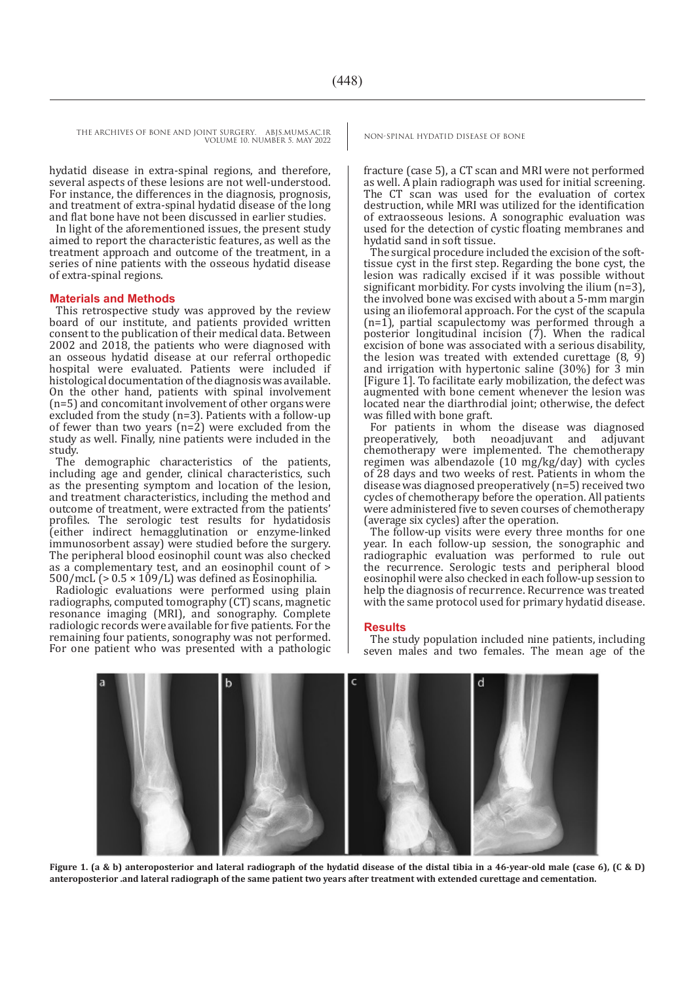hydatid disease in extra-spinal regions, and therefore, several aspects of these lesions are not well-understood. For instance, the differences in the diagnosis, prognosis, and treatment of extra-spinal hydatid disease of the long and flat bone have not been discussed in earlier studies.

In light of the aforementioned issues, the present study aimed to report the characteristic features, as well as the treatment approach and outcome of the treatment, in a series of nine patients with the osseous hydatid disease of extra-spinal regions.

#### **Materials and Methods**

This retrospective study was approved by the review board of our institute, and patients provided written consent to the publication of their medical data. Between 2002 and 2018, the patients who were diagnosed with an osseous hydatid disease at our referral orthopedic hospital were evaluated. Patients were included if histological documentation of the diagnosis was available. On the other hand, patients with spinal involvement (n=5) and concomitant involvement of other organs were excluded from the study (n=3). Patients with a follow-up of fewer than two years (n=2) were excluded from the study as well. Finally, nine patients were included in the study.

The demographic characteristics of the patients, including age and gender, clinical characteristics, such as the presenting symptom and location of the lesion, and treatment characteristics, including the method and outcome of treatment, were extracted from the patients' profiles. The serologic test results for hydatidosis (either indirect hemagglutination or enzyme-linked immunosorbent assay) were studied before the surgery. The peripheral blood eosinophil count was also checked as a complementary test, and an eosinophil count of >  $500/mc\hat{L}$  (>  $0.5 \times 109/L$ ) was defined as Eosinophilia.

Radiologic evaluations were performed using plain radiographs, computed tomography (CT) scans, magnetic resonance imaging (MRI), and sonography. Complete radiologic records were available for five patients. For the remaining four patients, sonography was not performed. For one patient who was presented with a pathologic

fracture (case 5), a CT scan and MRI were not performed as well. A plain radiograph was used for initial screening. The CT scan was used for the evaluation of cortex destruction, while MRI was utilized for the identification of extraosseous lesions. A sonographic evaluation was used for the detection of cystic floating membranes and hydatid sand in soft tissue.

The surgical procedure included the excision of the softtissue cyst in the first step. Regarding the bone cyst, the lesion was radically excised if it was possible without significant morbidity. For cysts involving the ilium (n=3), the involved bone was excised with about a 5-mm margin using an iliofemoral approach. For the cyst of the scapula (n=1), partial scapulectomy was performed through a posterior longitudinal incision (7). When the radical excision of bone was associated with a serious disability, the lesion was treated with extended curettage  $(8, 9)$ and irrigation with hypertonic saline (30%) for 3 min [Figure 1]. To facilitate early mobilization, the defect was augmented with bone cement whenever the lesion was located near the diarthrodial joint; otherwise, the defect was filled with bone graft.

For patients in whom the disease was diagnosed<br>preoperatively, both neoadjuvant and adjuvant both neoadjuvant and chemotherapy were implemented. The chemotherapy regimen was albendazole (10 mg/kg/day) with cycles of 28 days and two weeks of rest. Patients in whom the disease was diagnosed preoperatively (n=5) received two cycles of chemotherapy before the operation. All patients were administered five to seven courses of chemotherapy (average six cycles) after the operation.

The follow-up visits were every three months for one year. In each follow-up session, the sonographic and radiographic evaluation was performed to rule out the recurrence. Serologic tests and peripheral blood eosinophil were also checked in each follow-up session to help the diagnosis of recurrence. Recurrence was treated with the same protocol used for primary hydatid disease.

#### **Results**

The study population included nine patients, including seven males and two females. The mean age of the



**Figure 1. (a & b) anteroposterior and lateral radiograph of the hydatid disease of the distal tibia in a 46-year-old male (case 6), (C & D) anteroposterior .and lateral radiograph of the same patient two years after treatment with extended curettage and cementation.**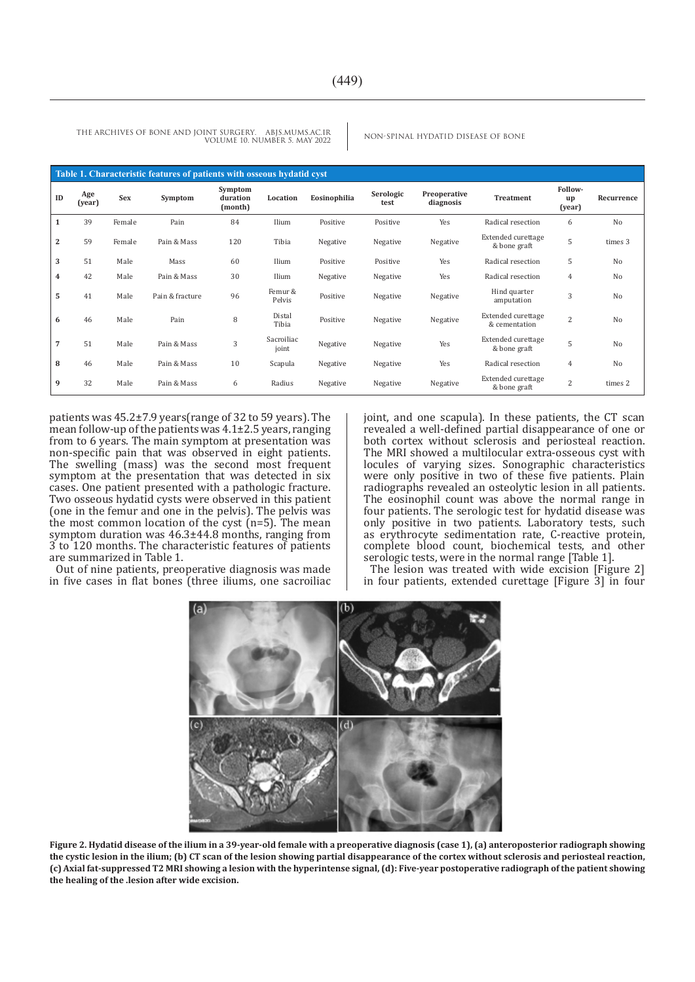| Table 1. Characteristic features of patients with osseous hydatid cyst |               |        |                 |                                |                     |              |                   |                           |                                            |                         |                |
|------------------------------------------------------------------------|---------------|--------|-----------------|--------------------------------|---------------------|--------------|-------------------|---------------------------|--------------------------------------------|-------------------------|----------------|
| ID                                                                     | Age<br>(year) | Sex    | Symptom         | Symptom<br>duration<br>(month) | Location            | Eosinophilia | Serologic<br>test | Preoperative<br>diagnosis | <b>Treatment</b>                           | Follow-<br>up<br>(year) | Recurrence     |
| $\mathbf{1}$                                                           | 39            | Female | Pain            | 84                             | Ilium               | Positive     | Positive          | Yes                       | Radical resection                          | 6                       | N <sub>o</sub> |
| $\overline{2}$                                                         | 59            | Female | Pain & Mass     | 120                            | Tibia               | Negative     | Negative          | Negative                  | Extended curettage<br>& bone graft         | 5                       | times 3        |
| 3                                                                      | 51            | Male   | Mass            | 60                             | Ilium               | Positive     | Positive          | Yes                       | Radical resection                          | 5                       | No             |
| 4                                                                      | 42            | Male   | Pain & Mass     | 30                             | Ilium               | Negative     | Negative          | Yes                       | Radical resection                          | 4                       | N <sub>0</sub> |
| 5                                                                      | 41            | Male   | Pain & fracture | 96                             | Femur &<br>Pelvis   | Positive     | Negative          | Negative                  | Hind quarter<br>amputation                 | 3                       | No             |
| 6                                                                      | 46            | Male   | Pain            | 8                              | Distal<br>Tibia     | Positive     | Negative          | Negative                  | <b>Extended</b> curettage<br>& cementation | $\overline{2}$          | No             |
| $\overline{7}$                                                         | 51            | Male   | Pain & Mass     | 3                              | Sacroiliac<br>joint | Negative     | Negative          | Yes                       | <b>Extended</b> curettage<br>& bone graft  | 5                       | No             |
| 8                                                                      | 46            | Male   | Pain & Mass     | 10                             | Scapula             | Negative     | Negative          | Yes                       | Radical resection                          | $\overline{4}$          | No             |
| 9                                                                      | 32            | Male   | Pain & Mass     | 6                              | Radius              | Negative     | Negative          | Negative                  | Extended curettage<br>& bone graft         | 2                       | times 2        |

patients was 45.2±7.9 years(range of 32 to 59 years). The mean follow-up of the patients was  $4.1\pm2.5$  years, ranging from to 6 years. The main symptom at presentation was non-specific pain that was observed in eight patients. The swelling (mass) was the second most frequent symptom at the presentation that was detected in six cases. One patient presented with a pathologic fracture. Two osseous hydatid cysts were observed in this patient (one in the femur and one in the pelvis). The pelvis was the most common location of the cyst  $(n=5)$ . The mean symptom duration was  $46.3\pm44.8$  months, ranging from 3 to 120 months. The characteristic features of patients are summarized in Table 1.

Out of nine patients, preoperative diagnosis was made in five cases in flat bones (three iliums, one sacroiliac joint, and one scapula). In these patients, the CT scan revealed a well-defined partial disappearance of one or both cortex without sclerosis and periosteal reaction. The MRI showed a multilocular extra-osseous cyst with locules of varying sizes. Sonographic characteristics were only positive in two of these five patients. Plain radiographs revealed an osteolytic lesion in all patients. The eosinophil count was above the normal range in four patients. The serologic test for hydatid disease was only positive in two patients. Laboratory tests, such as erythrocyte sedimentation rate, C-reactive protein, complete blood count, biochemical tests, and other serologic tests, were in the normal range [Table 1].

The lesion was treated with wide excision [Figure 2] in four patients, extended curettage [Figure 3] in four



**Figure 2. Hydatid disease of the ilium in a 39-year-old female with a preoperative diagnosis (case 1), (a) anteroposterior radiograph showing the cystic lesion in the ilium; (b) CT scan of the lesion showing partial disappearance of the cortex without sclerosis and periosteal reaction, (c) Axial fat-suppressed T2 MRI showing a lesion with the hyperintense signal, (d): Five-year postoperative radiograph of the patient showing the healing of the .lesion after wide excision.**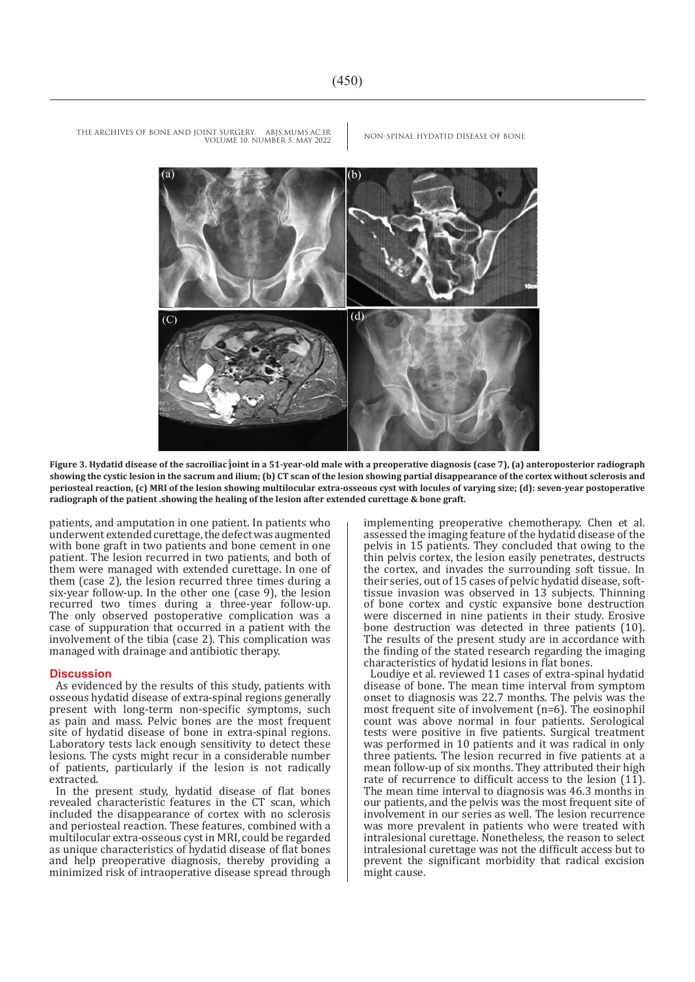(b)  $(d)$  $(\cap$ 

**Figure 3. Hydatid disease of the sacroiliac joint in a 51-year-old male with a preoperative diagnosis (case 7), (a) anteroposterior radiograph showing the cystic lesion in the sacrum and ilium; (b) CT scan of the lesion showing partial disappearance of the cortex without sclerosis and periosteal reaction, (c) MRI of the lesion showing multilocular extra-osseous cyst with locules of varying size; (d): seven-year postoperative radiograph of the patient .showing the healing of the lesion after extended curettage & bone graft.**

patients, and amputation in one patient. In patients who underwent extended curettage, the defect was augmented with bone graft in two patients and bone cement in one patient. The lesion recurred in two patients, and both of them were managed with extended curettage. In one of them (case 2), the lesion recurred three times during a six-year follow-up. In the other one (case 9), the lesion recurred two times during a three-year follow-up. The only observed postoperative complication was a case of suppuration that occurred in a patient with the involvement of the tibia (case 2). This complication was managed with drainage and antibiotic therapy.

#### **Discussion**

As evidenced by the results of this study, patients with osseous hydatid disease of extra-spinal regions generally present with long-term non-specific symptoms, such as pain and mass. Pelvic bones are the most frequent site of hydatid disease of bone in extra-spinal regions. Laboratory tests lack enough sensitivity to detect these lesions. The cysts might recur in a considerable number of patients, particularly if the lesion is not radically extracted.

In the present study, hydatid disease of flat bones revealed characteristic features in the CT scan, which included the disappearance of cortex with no sclerosis and periosteal reaction. These features, combined with a multilocular extra-osseous cyst in MRI, could be regarded as unique characteristics of hydatid disease of flat bones and help preoperative diagnosis, thereby providing a minimized risk of intraoperative disease spread through implementing preoperative chemotherapy. Chen et al. assessed the imaging feature of the hydatid disease of the pelvis in 15 patients. They concluded that owing to the thin pelvis cortex, the lesion easily penetrates, destructs the cortex, and invades the surrounding soft tissue. In their series, out of 15 cases of pelvic hydatid disease, softtissue invasion was observed in 13 subjects. Thinning of bone cortex and cystic expansive bone destruction were discerned in nine patients in their study. Erosive bone destruction was detected in three patients (10). The results of the present study are in accordance with the finding of the stated research regarding the imaging characteristics of hydatid lesions in flat bones.

Loudiye et al. reviewed 11 cases of extra-spinal hydatid disease of bone. The mean time interval from symptom onset to diagnosis was 22.7 months. The pelvis was the most frequent site of involvement (n=6). The eosinophil count was above normal in four patients. Serological tests were positive in five patients. Surgical treatment was performed in 10 patients and it was radical in only three patients. The lesion recurred in five patients at a mean follow-up of six months. They attributed their high rate of recurrence to difficult access to the lesion (11). The mean time interval to diagnosis was 46.3 months in our patients, and the pelvis was the most frequent site of involvement in our series as well. The lesion recurrence was more prevalent in patients who were treated with intralesional curettage. Nonetheless, the reason to select intralesional curettage was not the difficult access but to prevent the significant morbidity that radical excision might cause.

THE ARCHIVES OF BONE AND JOINT SURGERY. ABJS.MUMS.AC.IR NON-SPINAL HYDATID DISEASE OF BONE VOLUME 10. NUMBER 5. MAY 2022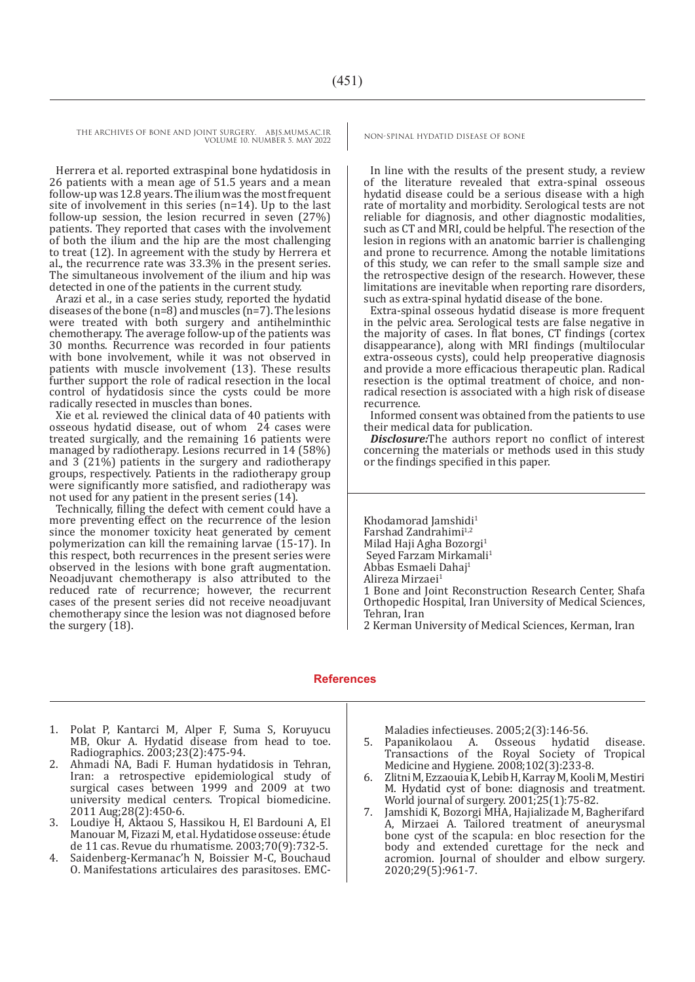Herrera et al. reported extraspinal bone hydatidosis in 26 patients with a mean age of 51.5 years and a mean follow-up was 12.8 years. The ilium was the most frequent site of involvement in this series (n=14). Up to the last follow-up session, the lesion recurred in seven (27%) patients. They reported that cases with the involvement of both the ilium and the hip are the most challenging to treat (12). In agreement with the study by Herrera et al., the recurrence rate was 33.3% in the present series. The simultaneous involvement of the ilium and hip was detected in one of the patients in the current study.

Arazi et al., in a case series study, reported the hydatid diseases of the bone (n=8) and muscles (n=7). The lesions were treated with both surgery and antihelminthic chemotherapy. The average follow-up of the patients was 30 months. Recurrence was recorded in four patients with bone involvement, while it was not observed in patients with muscle involvement (13). These results further support the role of radical resection in the local control of hydatidosis since the cysts could be more radically resected in muscles than bones.

Xie et al. reviewed the clinical data of 40 patients with osseous hydatid disease, out of whom 24 cases were treated surgically, and the remaining 16 patients were managed by radiotherapy. Lesions recurred in 14 (58%) and 3 (21%) patients in the surgery and radiotherapy groups, respectively. Patients in the radiotherapy group were significantly more satisfied, and radiotherapy was not used for any patient in the present series (14).

Technically, filling the defect with cement could have a more preventing effect on the recurrence of the lesion since the monomer toxicity heat generated by cement polymerization can kill the remaining larvae (15-17). In this respect, both recurrences in the present series were observed in the lesions with bone graft augmentation. Neoadjuvant chemotherapy is also attributed to the reduced rate of recurrence; however, the recurrent cases of the present series did not receive neoadjuvant chemotherapy since the lesion was not diagnosed before the surgery (18).

In line with the results of the present study, a review of the literature revealed that extra-spinal osseous hydatid disease could be a serious disease with a high rate of mortality and morbidity. Serological tests are not reliable for diagnosis, and other diagnostic modalities, such as CT and MRI, could be helpful. The resection of the lesion in regions with an anatomic barrier is challenging and prone to recurrence. Among the notable limitations of this study, we can refer to the small sample size and the retrospective design of the research. However, these limitations are inevitable when reporting rare disorders, such as extra-spinal hydatid disease of the bone.

Extra-spinal osseous hydatid disease is more frequent in the pelvic area. Serological tests are false negative in the majority of cases. In flat bones, CT findings (cortex disappearance), along with MRI findings (multilocular extra-osseous cysts), could help preoperative diagnosis and provide a more efficacious therapeutic plan. Radical resection is the optimal treatment of choice, and nonradical resection is associated with a high risk of disease recurrence.

Informed consent was obtained from the patients to use their medical data for publication.

*Disclosure:*The authors report no conflict of interest concerning the materials or methods used in this study or the findings specified in this paper.

Khodamorad Jamshidi<sup>1</sup> Farshad Zandrahimi<sup>1,2</sup> Milad Haji Agha Bozorgi<sup>1</sup> Seyed Farzam Mirkamali<sup>1</sup> Abbas Esmaeli Dahaj<sup>1</sup> Alireza Mirzaei1 1 Bone and Joint Reconstruction Research Center, Shafa Orthopedic Hospital, Iran University of Medical Sciences, Tehran, Iran

2 Kerman University of Medical Sciences, Kerman, Iran

#### **References**

- 1. Polat P, Kantarci M, Alper F, Suma S, Koruyucu MB, Okur A. Hydatid disease from head to toe. Radiographics. 2003;23(2):475-94.
- 2. Ahmadi NA, Badi F. Human hydatidosis in Tehran, Iran: a retrospective epidemiological study of surgical cases between 1999 and 2009 at two university medical centers. Tropical biomedicine. 2011 Aug;28(2):450-6.
- 3. Loudiye H, Aktaou S, Hassikou H, El Bardouni A, El Manouar M, Fizazi M, et al. Hydatidose osseuse: étude de 11 cas. Revue du rhumatisme. 2003;70(9):732-5.
- 4. Saidenberg-Kermanac'h N, Boissier M-C, Bouchaud O. Manifestations articulaires des parasitoses. EMC-

- Maladies infectieuses. 2005;2(3):146-56.<br>Papanikolaou A. Osseous hydatid 5. Papanikolaou A. Osseous hydatid disease. Transactions of the Royal Society of Tropical Medicine and Hygiene. 2008;102(3):233-8.
- 6. Zlitni M, Ezzaouia K, Lebib H, Karray M, Kooli M, Mestiri M. Hydatid cyst of bone: diagnosis and treatment. World journal of surgery. 2001;25(1):75-82.
- 7. Jamshidi K, Bozorgi MHA, Hajializade M, Bagherifard A, Mirzaei A. Tailored treatment of aneurysmal bone cyst of the scapula: en bloc resection for the body and extended curettage for the neck and acromion. Journal of shoulder and elbow surgery. 2020;29(5):961-7.